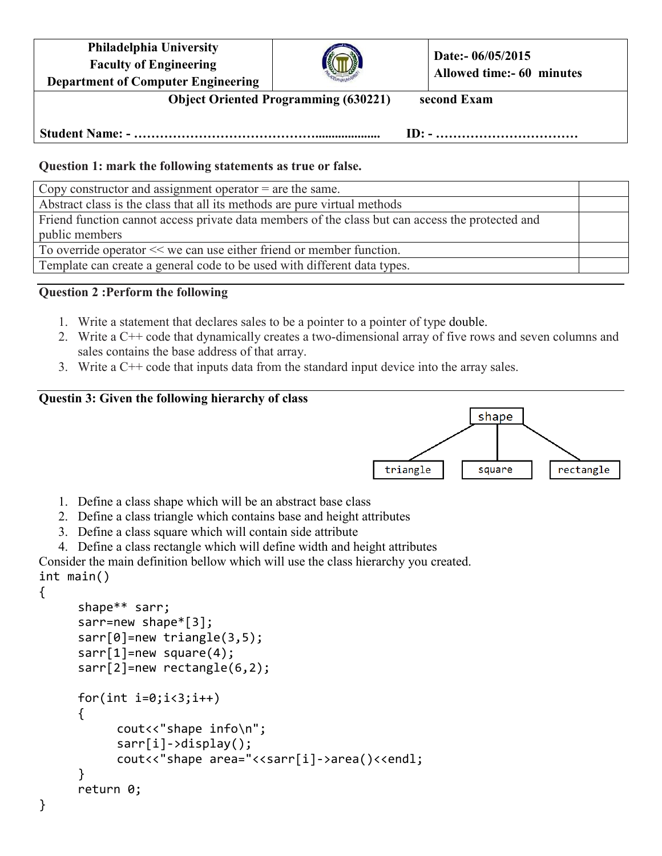| <b>Department of Computer Engineering</b><br><b>Object Oriented Programming (630221)</b> |  | second Exam                                    |  |
|------------------------------------------------------------------------------------------|--|------------------------------------------------|--|
| <b>Philadelphia University</b><br><b>Faculty of Engineering</b>                          |  | Date:- 06/05/2015<br>Allowed time:- 60 minutes |  |

**Student Name: - …………………………………….................... ID: - ……………………………**

## **Question 1: mark the following statements as true or false.**

Copy constructor and assignment operator = are the same.

Abstract class is the class that all its methods are pure virtual methods Friend function cannot access private data members of the class but can access the protected and public members

To override operator << we can use either friend or member function.

Template can create a general code to be used with different data types.

## **Question 2 :Perform the following**

- 1. Write a statement that declares sales to be a pointer to a pointer of type double.
- 2. Write a C++ code that dynamically creates a two-dimensional array of five rows and seven columns and sales contains the base address of that array.
- 3. Write a C++ code that inputs data from the standard input device into the array sales.

## **Questin 3: Given the following hierarchy of class**



- 1. Define a class shape which will be an abstract base class
- 2. Define a class triangle which contains base and height attributes
- 3. Define a class square which will contain side attribute
- 4. Define a class rectangle which will define width and height attributes

Consider the main definition bellow which will use the class hierarchy you created. int main()

{

```
 shape** sarr; 
 sarr=new shape*[3]; 
 sarr[0]=new triangle(3,5); 
sarr[1]=new square(4);
 sarr[2]=new rectangle(6,2); 
for(int i=0; i<3; i++) { 
       cout<<"shape info\n"; 
       sarr[i]->display(); 
      cout<<"shape area="<<sarr[i]->area()<<endl;
 } 
 return 0;
```